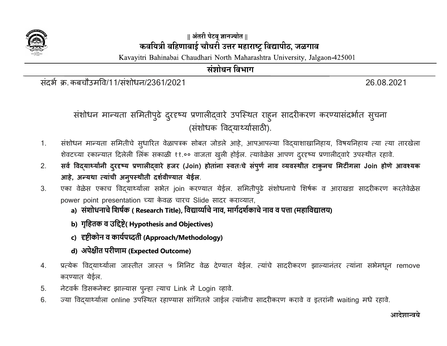

## || अंतरी पेटवू ज्ञानज्योत || कवयित्री बहिणाबाई चौधरी उत्तर महाराष्ट्र विद्यापीठ, जळगाव

Kavayitri Bahinabai Chaudhari North Maharashtra University, Jalgaon-425001

## संशोधन विभाग

संदर्भ क्र. कबचौउमवि/11/संशोधन/2361/2021 26.08.2021 26.08.2021

# संशोधन मान्यता समितीपुढे दुरदृष्य प्रणालीद्वारे उपस्थित राहुन सादरीकरण करण्यासदभोत सुचना (संशोधक विद्यार्थ्यांसाठी).

- 1. संशोधन मान्यता समितीचे सुधारित वेळापत्रक सोबत जोडले आहे, आपआपल्या विद्याशाखानिहाय, विषयनिहाय त्या त्या तारखेला शेवटच्या रकान्यात दिलेली लिंक सकाळी ११.०० वाजता खुली होईल. त्यावेळेस आपण दुरदृष्य प्रणालीद्वारे उपस्थीत रहावे.
- 2. सर्व विद्यार्थ्यांनी दुरदृष्य प्रणालीद्वारे हजर (Join) होतांना स्वतःचे संपुर्ण नाव व्यवस्थीत टाकुनच मिटींगला Join होणे आवश्यक आहे, अन्यथा त्यांची अनुपस्थीती दर्शवीण्यात येईल.
- 3. एका वेळेस एकाच विद्यार्थ्याला सभेत join करण्यात येईल. समितीपुढे संशोधनाचे शिर्षक व आराखडा सादरीकरण करतेवेळेस power point presentation च्या केवळ चारच Slide सादर कराव्यात,
	- a) संशोधनाचे शिर्षक ( Research Title), विद्यार्य्याचे नाव, मार्गदर्शकाचे नाव व पत्ता (महाविद्यालय)
	- b) गृहितक व उद्दिष्टे( Hypothesis and Objectives)
	- c) हष्टीकोन व कार्यपध्दती (Approach/Methodology)
	- d) अपेƗीत परीणाम (Expected Outcome)
- 4. प्रत्येक विदयार्थ्याला जास्तीत जास्त ५ मिनिट वेळ देण्यात येईल. त्यांचे सादरीकरण झाल्यानंतर त्यांना सभेमधून remove करण्यात येईल.
- 5. नेटवर्क डिसकनेक्ट झाल्यास प्*न्*हा त्याच Link ने Login व्हावे.
- 6. Ïया ͪवɮयाØया[ला online उपिèथत रहाÖयास सांͬगतले जाईल ×यांनीच सादरȣकरण करावे व इतरांनी waiting मधे रहाव.े

## आदेशान्वये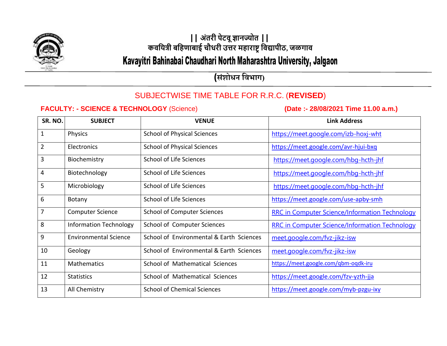

# **|| अंतरी पेटवूज्ञानज्योत || कवयित्री बयिणाबाई चौधरी उत्तर मिाराष्ट्रयवद्यापीठ, जळगाव**

# Kavayitri Bahinabai Chaudhari North Maharashtra University, Jalgaon

**(संशोधन विभाग)**

## SUBJECTWISE TIME TABLE FOR R.R.C. (**REVISED**)

### **FACULTY: - SCIENCE & TECHNOLOGY** (Science) **(Date :- 28/08/2021 Time 11.00 a.m.)**

| SR. NO.        | <b>SUBJECT</b>                | <b>VENUE</b>                             | <b>Link Address</b>                                   |
|----------------|-------------------------------|------------------------------------------|-------------------------------------------------------|
| $\mathbf{1}$   | Physics                       | <b>School of Physical Sciences</b>       | https://meet.google.com/izb-hoxj-wht                  |
| $\overline{2}$ | Electronics                   | <b>School of Physical Sciences</b>       | https://meet.google.com/avr-hjui-bxq                  |
| 3              | Biochemistry                  | School of Life Sciences                  | https://meet.google.com/hbg-hcth-jhf                  |
| 4              | Biotechnology                 | School of Life Sciences                  | https://meet.google.com/hbg-hcth-jhf                  |
| 5              | Microbiology                  | School of Life Sciences                  | https://meet.google.com/hbg-hcth-jhf                  |
| 6              | Botany                        | School of Life Sciences                  | https://meet.google.com/use-apby-smh                  |
| $\overline{7}$ | <b>Computer Science</b>       | <b>School of Computer Sciences</b>       | <b>RRC in Computer Science/Information Technology</b> |
| 8              | <b>Information Technology</b> | School of Computer Sciences              | <b>RRC in Computer Science/Information Technology</b> |
| 9              | <b>Environmental Science</b>  | School of Environmental & Earth Sciences | meet.google.com/fvz-jikz-isw                          |
| 10             | Geology                       | School of Environmental & Earth Sciences | meet.google.com/fvz-jikz-isw                          |
| 11             | <b>Mathematics</b>            | School of Mathematical Sciences          | https://meet.google.com/qbm-oqdk-iru                  |
| 12             | <b>Statistics</b>             | School of Mathematical Sciences          | https://meet.google.com/fzv-yzth-jja                  |
| 13             | All Chemistry                 | <b>School of Chemical Sciences</b>       | https://meet.google.com/myb-pzgu-ixy                  |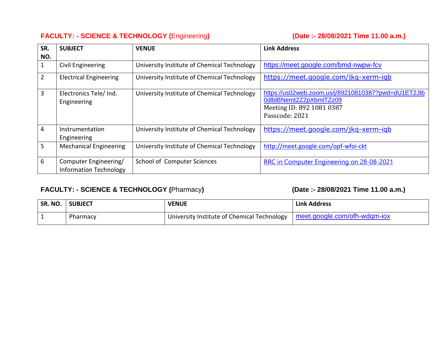### **FACULTY: - SCIENCE & TECHNOLOGY (**Engineering**) (Date :- 28/08/2021 Time 11.00 a.m.)**

| SR.<br>NO.     | <b>SUBJECT</b>                                         | <b>VENUE</b>                                | <b>Link Address</b>                                                                                                           |
|----------------|--------------------------------------------------------|---------------------------------------------|-------------------------------------------------------------------------------------------------------------------------------|
| 1              | Civil Engineering                                      | University Institute of Chemical Technology | https://meet.google.com/bmd-nwpw-fcv                                                                                          |
| $\overline{2}$ | <b>Electrical Engineering</b>                          | University Institute of Chemical Technology | https://meet.google.com/jkg-xerm-igb                                                                                          |
| 3              | Electronics Tele/ Ind.<br>Engineering                  | University Institute of Chemical Technology | https://us02web.zoom.us/j/89210810387?pwd=dU1ET2Jtb<br>0dlbIBNemt2Z2pXbmITZz09<br>Meeting ID: 892 1081 0387<br>Passcode: 2021 |
| 4              | Instrumentation<br>Engineering                         | University Institute of Chemical Technology | https://meet.google.com/jkg-xerm-igb                                                                                          |
| 5              | <b>Mechanical Engineering</b>                          | University Institute of Chemical Technology | http://meet.google.com/opf-wfoi-ckt                                                                                           |
| 6              | Computer Engineering/<br><b>Information Technology</b> | School of Computer Sciences                 | RRC in Computer Engineering on 28-08-2021                                                                                     |

## **FACULTY: - SCIENCE & TECHNOLOGY (**Pharmacy**) (Date :- 28/08/2021 Time 11.00 a.m.)**

| SR. NO. | <b>SUBJECT</b> | <b>VENUE</b>                                | <b>Link Address</b>          |
|---------|----------------|---------------------------------------------|------------------------------|
|         | Pharmacy       | University Institute of Chemical Technology | meet.google.com/ofh-wdgm-iox |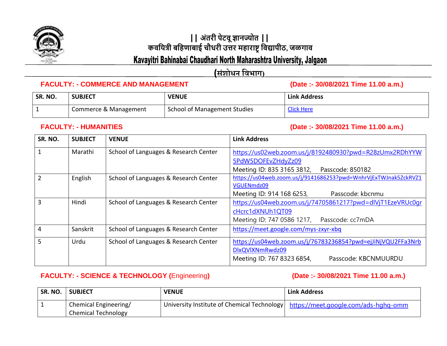

# **|| अंतरी पेटवूज्ञानज्योत || कवयित्री बयिणाबाई चौधरी उत्तर मिाराष्ट्रयवद्यापीठ, जळगाव**

## Kavayitri Bahinabai Chaudhari North Maharashtra University, Jalgaon

**(संशोधन विभाग)**

#### **FACULTY: - COMMERCE AND MANAGEMENT (Date :- 30/08/2021 Time 11.00 a.m.)**

| SR. NO. | <b>SUBJECT</b>        | <b>VENUE</b>                        | <b>Link Address</b> |
|---------|-----------------------|-------------------------------------|---------------------|
|         | Commerce & Management | <b>School of Management Studies</b> | <b>Click Here</b>   |

**FACULTY: - HUMANITIES (Date :- 30/08/2021 Time 11.00 a.m.)**

| SR. NO.        | <b>SUBJECT</b> | <b>VENUE</b>                          | <b>Link Address</b>                                             |
|----------------|----------------|---------------------------------------|-----------------------------------------------------------------|
| $\mathbf{1}$   | Marathi        | School of Languages & Research Center | https://us02web.zoom.us/j/8192480930?pwd=R28zUmx2RDhYYW         |
|                |                |                                       | 5PdW5DOFEvZHdyZz09                                              |
|                |                |                                       | Meeting ID: 835 3165 3812, Passcode: 850182                     |
| $\overline{2}$ | English        | School of Languages & Research Center | https://us04web.zoom.us/j/9141686253?pwd=WnhrVjExTWJnak5ZckRVZ1 |
|                |                |                                       | VGUENmdz09                                                      |
|                |                |                                       | Meeting ID: 914 168 6253,<br>Passcode: kbcnmu                   |
| $\overline{3}$ | Hindi          | School of Languages & Research Center | https://us04web.zoom.us/j/74705861217?pwd=dlVjT1EzeVRUc0gr      |
|                |                |                                       | cHcrc1dXNUh1QT09                                                |
|                |                |                                       | Meeting ID: 747 0586 1217, Passcode: cc7mDA                     |
| $\overline{4}$ | Sanskrit       | School of Languages & Research Center | https://meet.google.com/mys-zxyr-xbq                            |
| 5              | Urdu           | School of Languages & Research Center | https://us04web.zoom.us/j/76783236854?pwd=ejJiNjVQU2FFa3Nrb     |
|                |                |                                       | DlxQVlXNmRwdz09                                                 |
|                |                |                                       | Meeting ID: 767 8323 6854,<br>Passcode: KBCNMUURDU              |

### **FACULTY: - SCIENCE & TECHNOLOGY (**Engineering**) (Date :- 30/08/2021 Time 11.00 a.m.)**

| SR. NO. | <b>SUBJECT</b>        | <b>VENUE</b> | <b>Link Address</b>                                                                |
|---------|-----------------------|--------------|------------------------------------------------------------------------------------|
|         | Chemical Engineering/ |              | University Institute of Chemical Technology   https://meet.google.com/ads-hghq-omm |
|         | Chemical Technology   |              |                                                                                    |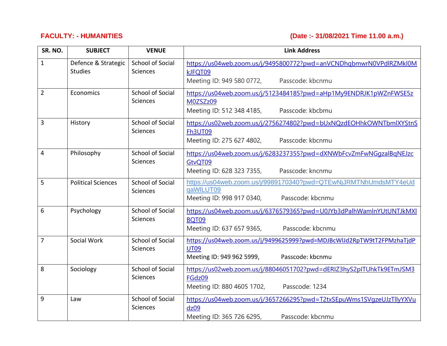**FACULTY: - HUMANITIES (Date :- 31/08/2021 Time 11.00 a.m.)**

| SR. NO.        | <b>SUBJECT</b>                        | <b>VENUE</b>                               | <b>Link Address</b>                                                                                                                   |
|----------------|---------------------------------------|--------------------------------------------|---------------------------------------------------------------------------------------------------------------------------------------|
| $\mathbf{1}$   | Defence & Strategic<br><b>Studies</b> | <b>School of Social</b><br><b>Sciences</b> | https://us04web.zoom.us/j/9495800772?pwd=anVCNDhqbmwrN0VPdlRZMkl0M<br>kJFQT09<br>Meeting ID: 949 580 0772,<br>Passcode: kbcnmu        |
| $\overline{2}$ | Economics                             | <b>School of Social</b><br><b>Sciences</b> | https://us04web.zoom.us/j/5123484185?pwd=aHp1My9ENDRJK1pWZnFWSE5z<br>M0ZSZz09<br>Meeting ID: 512 348 4185,<br>Passcode: kbcbmu        |
| $\overline{3}$ | History                               | School of Social<br>Sciences               | https://us02web.zoom.us/j/2756274802?pwd=bUxNQzdEOHhkOWNTbmlXYStnS<br><b>Fh3UT09</b><br>Meeting ID: 275 627 4802,<br>Passcode: kbcnmu |
| $\overline{4}$ | Philosophy                            | <b>School of Social</b><br>Sciences        | https://us04web.zoom.us/j/6283237355?pwd=dXNWbFcvZmFwNGqzalBqNEJzc<br>GtvQT09<br>Meeting ID: 628 323 7355,<br>Passcode: kncnmu        |
| 5              | <b>Political Sciences</b>             | <b>School of Social</b><br>Sciences        | https://us04web.zoom.us/j/9989170340?pwd=QTEwNjJRMTNhUmdsMTY4eUd<br>qaWILUT09<br>Meeting ID: 998 917 0340,<br>Passcode: kbcnmu        |
| 6              | Psychology                            | <b>School of Social</b><br><b>Sciences</b> | https://us04web.zoom.us/j/6376579365?pwd=U0JYb3dPalhWamlnYUtUNTJkMXI<br><b>BQT09</b><br>Meeting ID: 637 657 9365,<br>Passcode: kbcnmu |
| $\overline{7}$ | Social Work                           | <b>School of Social</b><br>Sciences        | https://us04web.zoom.us/j/9499625999?pwd=MDJBcWlJd2RpTW9tT2FPMzhaTjdP<br><b>UT09</b><br>Passcode: kbcnmu<br>Meeting ID: 949 962 5999, |
| 8              | Sociology                             | <b>School of Social</b><br><b>Sciences</b> | https://us02web.zoom.us/j/88046051702?pwd=dERIZ3hyS2pITUhkTk9ETmJSM3<br>FGdz09<br>Meeting ID: 880 4605 1702,<br>Passcode: 1234        |
| 9              | Law                                   | <b>School of Social</b><br>Sciences        | https://us04web.zoom.us/j/3657266295?pwd=T2txSEpuWms1SVqzeUJzTllyYXVu<br>dz09<br>Meeting ID: 365 726 6295,<br>Passcode: kbcnmu        |